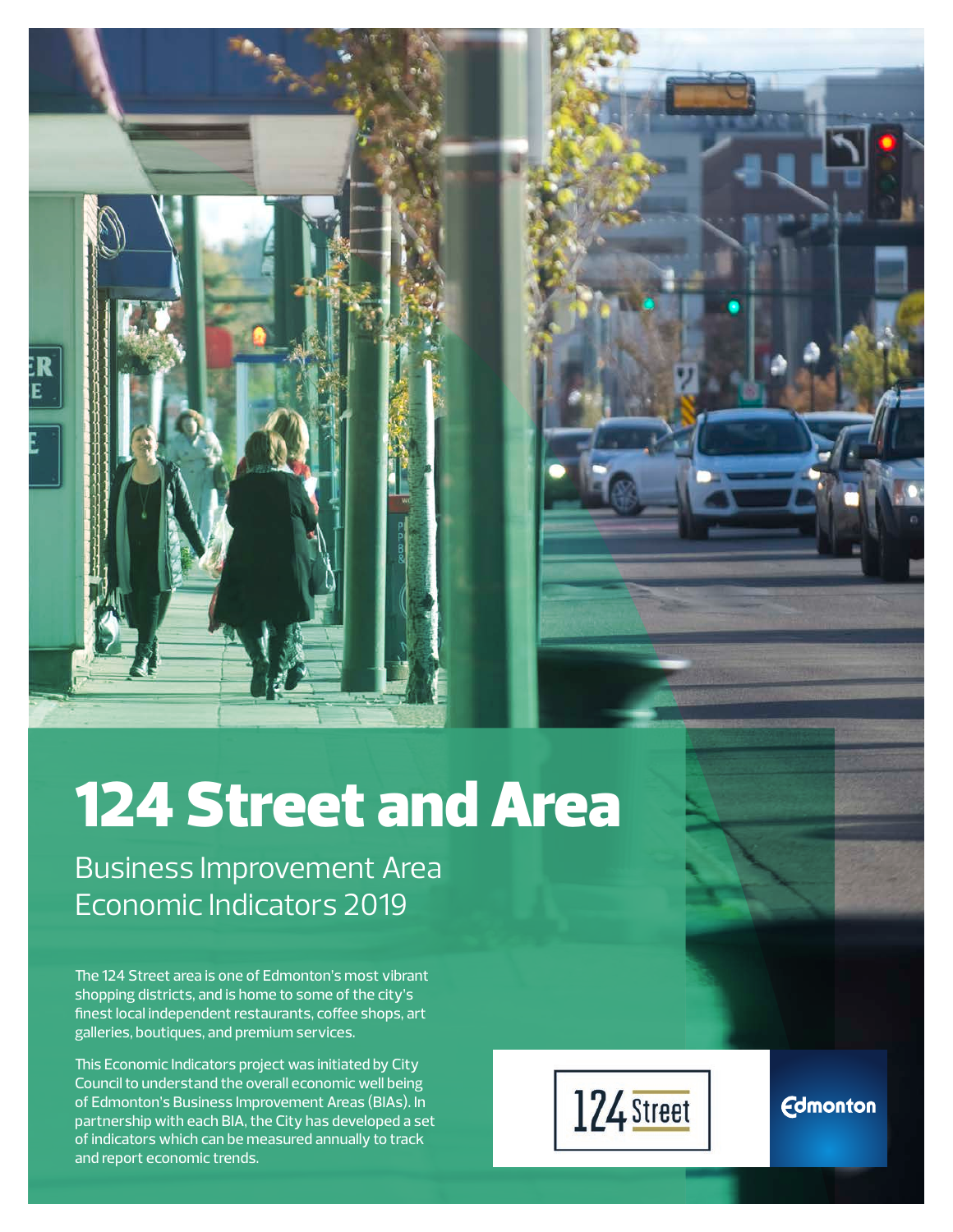# 124 Street and Area

Business Improvement Area Economic Indicators 2019

The 124 Street area is one of Edmonton's most vibrant shopping districts, and is home to some of the city's finest local independent restaurants, coffee shops, art galleries, boutiques, and premium services.

This Economic Indicators project was initiated by City Council to understand the overall economic well being of Edmonton's Business Improvement Areas (BIAs). In partnership with each BIA, the City has developed a set of indicators which can be measured annually to track and report economic trends.



**Edmonton**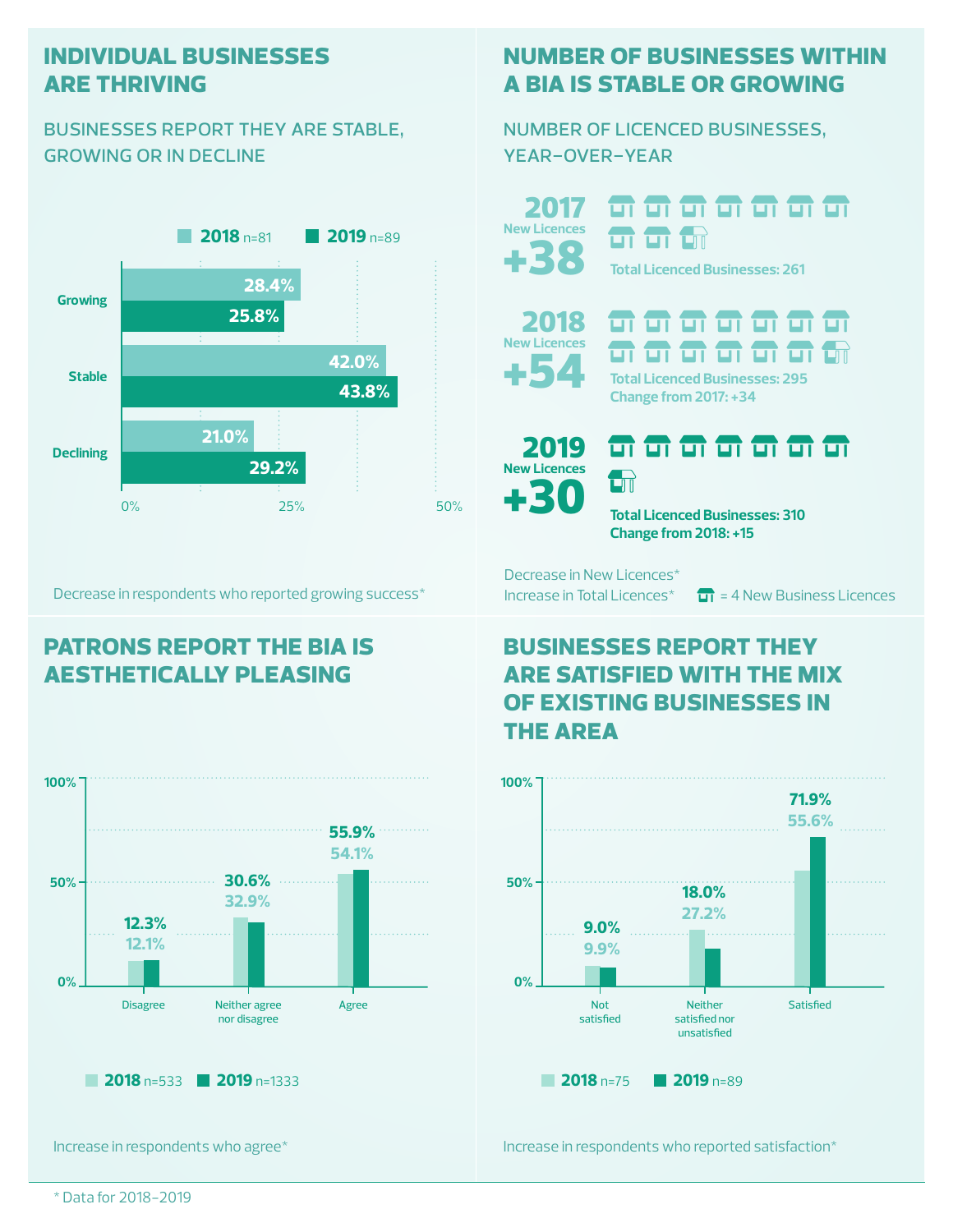## **individual businesses are thriving**

## businesses report they are stable, growing or in decline



Decrease in respondents who reported growing success\*

# **patrons report the bia is aesthetically pleasing**



Increase in respondents who agree\*

# **number of businesses within a bia is stable or growing**

number of licenced businesses, year-over-year

+38 2017 **New Licences**

**m m m m m m m** ज ज **Total Licenced Businesses: 261**



 ज के के न क  $\Box$ **Total Licenced Businesses: 295 Change from 2017: +34**



<del>ள எ எ எ எ எ எ</del>  $\Box$ 

**Total Licenced Businesses: 310 Change from 2018: +15**

Decrease in New Licences\*

Increase in Total Licences<sup>\*</sup>  $\overline{11}$  = 4 New Business Licences

# **businesses report they are satisfied with the mix of existing businesses in the area**



Increase in respondents who reported satisfaction\*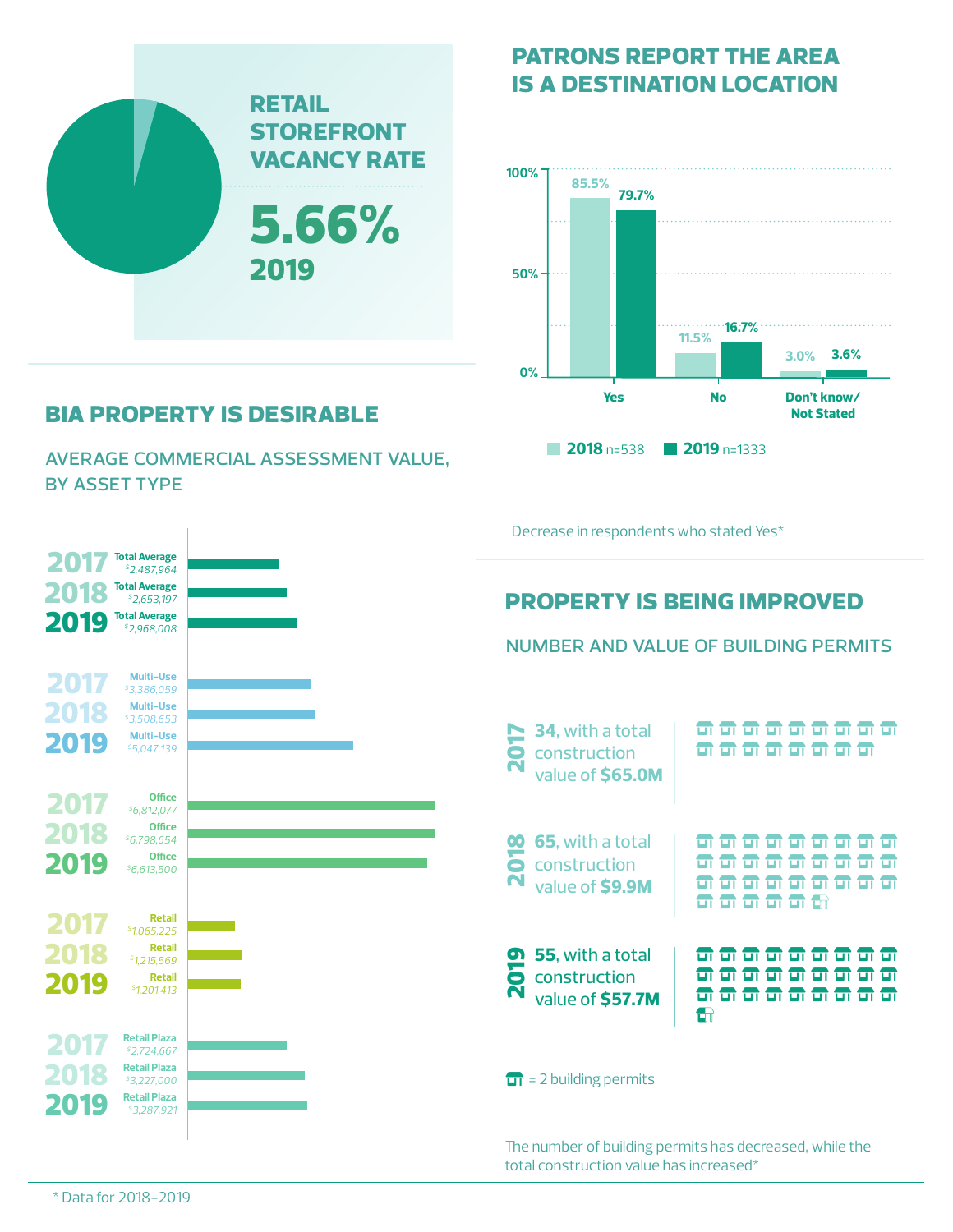

# **bia property is desirable**

average commercial assessment value, by asset type



# **patrons report the area is a destination location**



Decrease in respondents who stated Yes\*

# **property is being improved**

number and value of building permits

The number of building permits has decreased, while the total construction value has increased\*